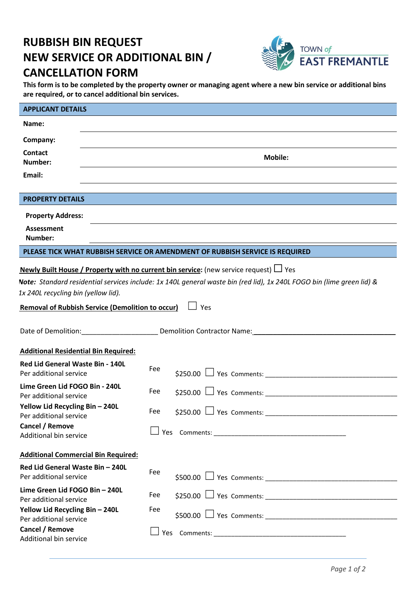# **RUBBISH BIN REQUEST NEW SERVICE OR ADDITIONAL BIN / CANCELLATION FORM**



**This form is to be completed by the property owner or managing agent where a new bin service or additional bins are required, or to cancel additional bin services.** 

| <b>APPLICANT DETAILS</b>                                                              |                |     |                                                                                                                       |  |  |
|---------------------------------------------------------------------------------------|----------------|-----|-----------------------------------------------------------------------------------------------------------------------|--|--|
| Name:                                                                                 |                |     |                                                                                                                       |  |  |
| Company:                                                                              |                |     |                                                                                                                       |  |  |
| <b>Contact</b><br>Number:                                                             | <b>Mobile:</b> |     |                                                                                                                       |  |  |
| Email:                                                                                |                |     |                                                                                                                       |  |  |
| <b>PROPERTY DETAILS</b>                                                               |                |     |                                                                                                                       |  |  |
|                                                                                       |                |     |                                                                                                                       |  |  |
| <b>Property Address:</b>                                                              |                |     |                                                                                                                       |  |  |
| <b>Assessment</b><br>Number:                                                          |                |     |                                                                                                                       |  |  |
| PLEASE TICK WHAT RUBBISH SERVICE OR AMENDMENT OF RUBBISH SERVICE IS REQUIRED          |                |     |                                                                                                                       |  |  |
| Newly Built House / Property with no current bin service: (new service request) □ Yes |                |     |                                                                                                                       |  |  |
|                                                                                       |                |     | Note: Standard residential services include: 1x 140L general waste bin (red lid), 1x 240L FOGO bin (lime green lid) & |  |  |
| 1x 240L recycling bin (yellow lid).                                                   |                |     |                                                                                                                       |  |  |
| <b>Removal of Rubbish Service (Demolition to occur)</b>                               |                |     | $\Box$ Yes                                                                                                            |  |  |
|                                                                                       |                |     |                                                                                                                       |  |  |
|                                                                                       |                |     | Demolition: Demolition Contractor Name: Demolition Contractor Name:                                                   |  |  |
| <b>Additional Residential Bin Required:</b>                                           |                |     |                                                                                                                       |  |  |
| Red Lid General Waste Bin - 140L<br>Per additional service                            |                | Fee |                                                                                                                       |  |  |
| Lime Green Lid FOGO Bin - 240L<br>Per additional service                              |                | Fee | $$250.00$ $\Box$ Yes Comments:                                                                                        |  |  |
| Yellow Lid Recycling Bin - 240L<br>Per additional service                             |                | Fee |                                                                                                                       |  |  |
| Cancel / Remove<br>Additional bin service                                             |                |     |                                                                                                                       |  |  |
| <b>Additional Commercial Bin Required:</b>                                            |                |     |                                                                                                                       |  |  |
| Red Lid General Waste Bin - 240L<br>Per additional service                            |                | Fee |                                                                                                                       |  |  |
| Lime Green Lid FOGO Bin - 240L<br>Per additional service                              |                | Fee |                                                                                                                       |  |  |
| Yellow Lid Recycling Bin - 240L<br>Per additional service                             |                | Fee |                                                                                                                       |  |  |
| Cancel / Remove<br>Additional bin service                                             |                |     |                                                                                                                       |  |  |